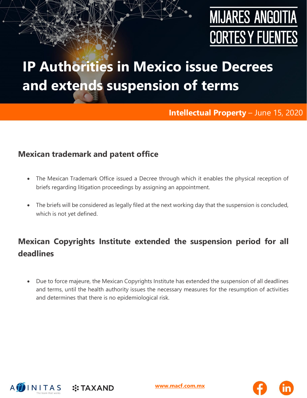

# **IP Authorities in Mexico issue Decrees and extends suspension of terms**

**Intellectual Property** – June 15, 2020

#### **Mexican trademark and patent office**

- The Mexican Trademark Office issued a Decree through which it enables the physical reception of briefs regarding litigation proceedings by assigning an appointment.
- The briefs will be considered as legally filed at the next working day that the suspension is concluded, which is not yet defined.

### **Mexican Copyrights Institute extended the suspension period for all deadlines**

• Due to force majeure, the Mexican Copyrights Institute has extended the suspension of all deadlines and terms, until the health authority issues the necessary measures for the resumption of activities and determines that there is no epidemiological risk.



**[www.macf.com.mx](http://www.macf.com.mx/)**

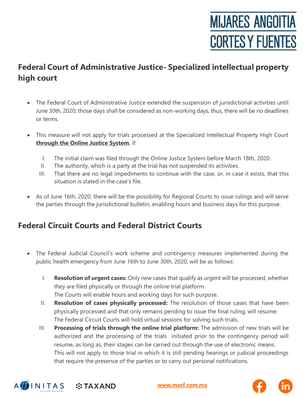#### **Federal Court of Administrative Justice- Specialized intellectual property high court**

- The Federal Court of Administrative Justice extended the suspension of jurisdictional activities until June 30th, 2020; those days shall be considered as non-working days, thus, there will be no deadlines or terms.
- This measure will not apply for trials processed at the Specialized Intellectual Property High Court **through the Online Justice System**, if:
	- I. The initial claim was filed through the Online Justice System before March 18th, 2020.
	- II. The authority, which is a party at the trial has not suspended its activities.
	- III. That there are no legal impediments to continue with the case, or, in case it exists, that this situation is stated in the case's file.
- As of June 16th, 2020, there will be the possibility for Regional Courts to issue rulings and will serve the parties through the jurisdictional bulletin, enabling hours and business days for this purpose.

#### **Federal Circuit Courts and Federal District Courts**

**:: TAXAND** 

- The Federal Judicial Council's work scheme and contingency measures implemented during the public health emergency from June 16th to June 30th, 2020, will be as follows:
	- I. **Resolution of urgent cases:** Only new cases that qualify as urgent will be processed, whether they are filed physically or through the online trial platform The Courts will enable hours and working days for such purpose.
	- II. **Resolution of cases physically processed:** The resolution of those cases that have been physically processed and that only remains pending to issue the final ruling, will resume. The Federal Circuit Courts will hold virtual sessions for solving such trials.
	- III. **Processing of trials through the online trial platform:** The admission of new trials will be authorized and the processing of the trials initiated prior to the contingency period will resume, as long as, their stages can be carried out through the use of electronic means. This will not apply to those trial in which it is still pending hearings or judicial proceedings that require the presence of the parties or to carry out personal notifications.



**[www.macf.com.mx](http://www.macf.com.mx/)**